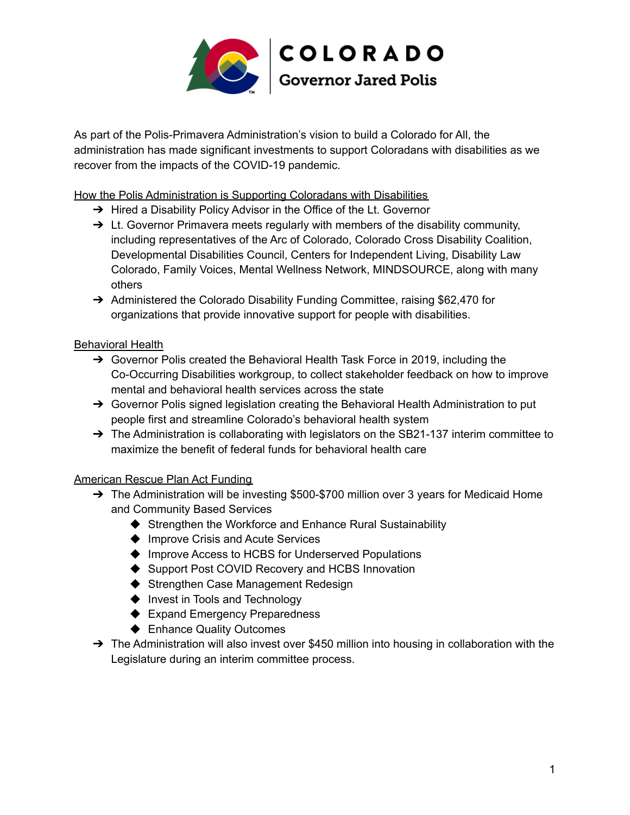

As part of the Polis-Primavera Administration's vision to build a Colorado for All, the administration has made significant investments to support Coloradans with disabilities as we recover from the impacts of the COVID-19 pandemic.

How the Polis Administration is Supporting Coloradans with Disabilities

- → Hired a Disability Policy Advisor in the Office of the Lt. Governor
- $\rightarrow$  Lt. Governor Primavera meets regularly with members of the disability community, including representatives of the Arc of Colorado, Colorado Cross Disability Coalition, Developmental Disabilities Council, Centers for Independent Living, Disability Law Colorado, Family Voices, Mental Wellness Network, MINDSOURCE, along with many others
- → Administered the Colorado Disability Funding Committee, raising \$62,470 for organizations that provide innovative support for people with disabilities.

## Behavioral Health

- ➔ Governor Polis created the Behavioral Health Task Force in 2019, including the Co-Occurring Disabilities workgroup, to collect stakeholder feedback on how to improve mental and behavioral health services across the state
- $\rightarrow$  Governor Polis signed legislation creating the Behavioral Health Administration to put people first and streamline Colorado's behavioral health system
- $\rightarrow$  The Administration is collaborating with legislators on the SB21-137 interim committee to maximize the benefit of federal funds for behavioral health care

## American Rescue Plan Act Funding

- → The Administration will be investing \$500-\$700 million over 3 years for Medicaid Home and Community Based Services
	- ◆ Strengthen the Workforce and Enhance Rural Sustainability
	- ◆ Improve Crisis and Acute Services
	- ◆ Improve Access to HCBS for Underserved Populations
	- ◆ Support Post COVID Recovery and HCBS Innovation
	- ◆ Strengthen Case Management Redesign
	- ◆ Invest in Tools and Technology
	- ◆ Expand Emergency Preparedness
	- ◆ Enhance Quality Outcomes
- → The Administration will also invest over \$450 million into housing in collaboration with the Legislature during an interim committee process.